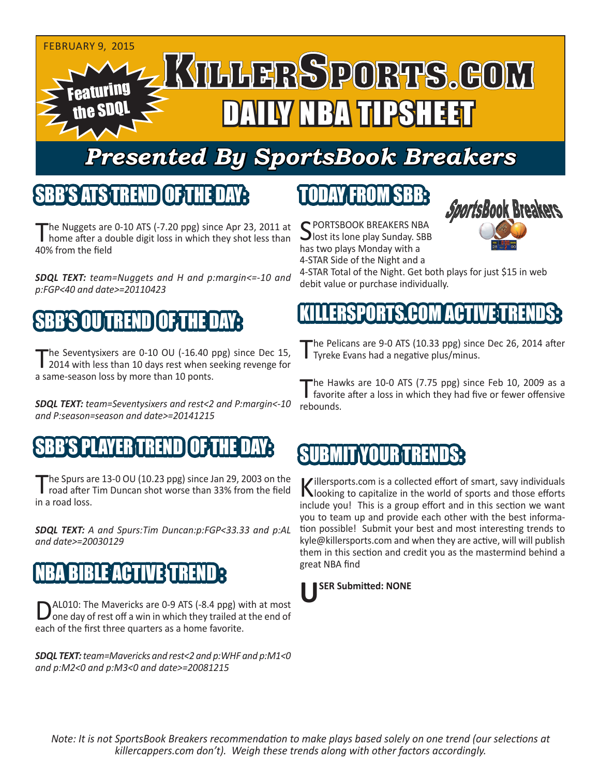

# *Presented By SportsBook Breakers*

## SBB'S ATS TREND OF THE DAY:

The Nuggets are 0-10 ATS (-7.20 ppg) since Apr 23, 2011 at home after a double digit loss in which they shot less than 40% from the field

*SDQL TEXT: team=Nuggets and H and p:margin<=-10 and p:FGP<40 and date>=20110423*

# SBB'S OU TREND OF THE DAY:

The Seventysixers are 0-10 OU (-16.40 ppg) since Dec 15, 2014 with less than 10 days rest when seeking revenge for a same-season loss by more than 10 ponts.

*SDQL TEXT: team=Seventysixers and rest<2 and P:margin<-10 and P:season=season and date>=20141215*

#### SBP PAYER TREN

The Spurs are 13-0 OU (10.23 ppg) since Jan 29, 2003 on the road after Tim Duncan shot worse than 33% from the field in a road loss.

*SDQL TEXT: A and Spurs:Tim Duncan:p:FGP<33.33 and p:AL and date>=20030129*

# **BIBLE ACTIVE STRE**

AL010: The Mavericks are 0-9 ATS (-8.4 ppg) with at most one day of rest off a win in which they trailed at the end of each of the first three quarters as a home favorite.

*SDQL TEXT: team=Mavericks and rest<2 and p:WHF and p:M1<0 and p:M2<0 and p:M3<0 and date>=20081215*

# TODAY FROM SBB:

C PORTSBOOK BREAKERS NBA **J** lost its lone play Sunday. SBB has two plays Monday with a 4-STAR Side of the Night and a



4-STAR Total of the Night. Get both plays for just \$15 in web debit value or purchase individually.

## SPORTS.COM ACT

The Pelicans are 9-0 ATS (10.33 ppg) since Dec 26, 2014 after<br>Tyreke Evans had a negative plus/minus.

The Hawks are 10-0 ATS (7.75 ppg) since Feb 10, 2009 as a favorite after a loss in which they had five or fewer offensive rebounds.

## SUBMIT YOUR TREND

Killersports.com is a collected effort of smart, savy individuals<br>Nooking to capitalize in the world of sports and those efforts include you! This is a group effort and in this section we want you to team up and provide each other with the best information possible! Submit your best and most interesting trends to kyle@killersports.com and when they are active, will will publish them in this section and credit you as the mastermind behind a great NBA find



*Note: It is not SportsBook Breakers recommendation to make plays based solely on one trend (our selections at killercappers.com don't). Weigh these trends along with other factors accordingly.*